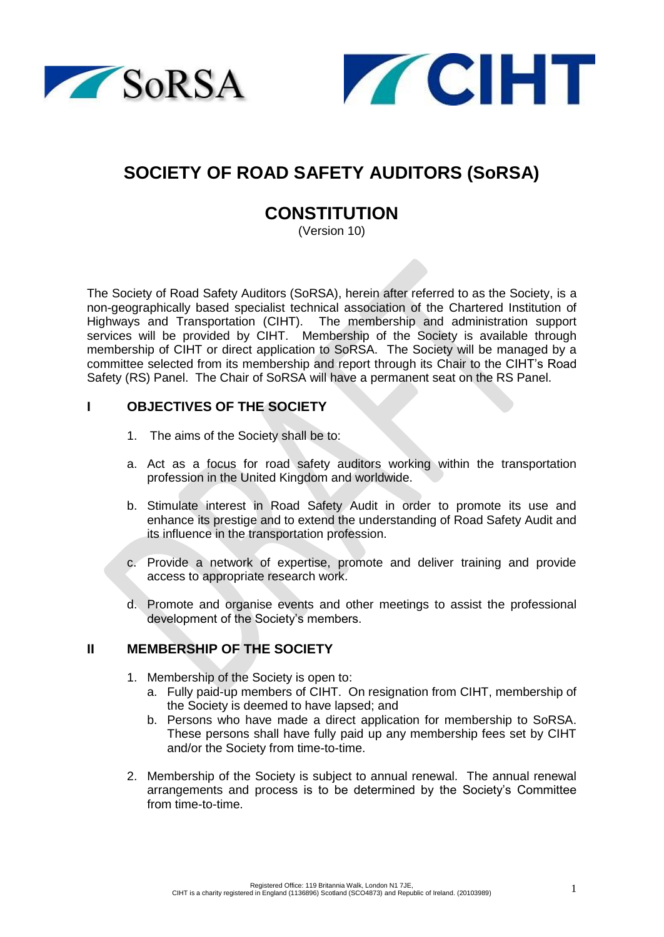



# **SOCIETY OF ROAD SAFETY AUDITORS (SoRSA)**

# **CONSTITUTION**

(Version 10)

The Society of Road Safety Auditors (SoRSA), herein after referred to as the Society, is a non-geographically based specialist technical association of the Chartered Institution of Highways and Transportation (CIHT). The membership and administration support services will be provided by CIHT. Membership of the Society is available through membership of CIHT or direct application to SoRSA. The Society will be managed by a committee selected from its membership and report through its Chair to the CIHT's Road Safety (RS) Panel. The Chair of SoRSA will have a permanent seat on the RS Panel.

### **I OBJECTIVES OF THE SOCIETY**

- 1. The aims of the Society shall be to:
- a. Act as a focus for road safety auditors working within the transportation profession in the United Kingdom and worldwide.
- b. Stimulate interest in Road Safety Audit in order to promote its use and enhance its prestige and to extend the understanding of Road Safety Audit and its influence in the transportation profession.
- c. Provide a network of expertise, promote and deliver training and provide access to appropriate research work.
- d. Promote and organise events and other meetings to assist the professional development of the Society's members.

## **II MEMBERSHIP OF THE SOCIETY**

- 1. Membership of the Society is open to:
	- a. Fully paid-up members of CIHT. On resignation from CIHT, membership of the Society is deemed to have lapsed; and
	- b. Persons who have made a direct application for membership to SoRSA. These persons shall have fully paid up any membership fees set by CIHT and/or the Society from time-to-time.
- 2. Membership of the Society is subject to annual renewal. The annual renewal arrangements and process is to be determined by the Society's Committee from time-to-time.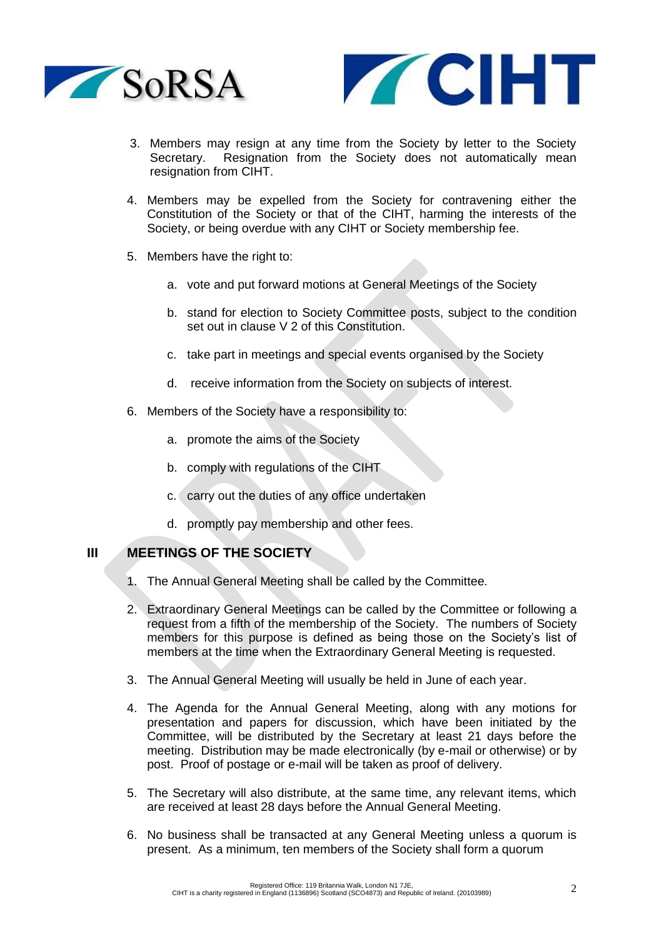



- 3. Members may resign at any time from the Society by letter to the Society Secretary. Resignation from the Society does not automatically mean resignation from CIHT.
- 4. Members may be expelled from the Society for contravening either the Constitution of the Society or that of the CIHT, harming the interests of the Society, or being overdue with any CIHT or Society membership fee.
- 5. Members have the right to:
	- a. vote and put forward motions at General Meetings of the Society
	- b. stand for election to Society Committee posts, subject to the condition set out in clause V 2 of this Constitution.
	- c. take part in meetings and special events organised by the Society
	- d. receive information from the Society on subjects of interest.
- 6. Members of the Society have a responsibility to:
	- a. promote the aims of the Society
	- b. comply with regulations of the CIHT
	- c. carry out the duties of any office undertaken
	- d. promptly pay membership and other fees.

#### **III MEETINGS OF THE SOCIETY**

- 1. The Annual General Meeting shall be called by the Committee.
- 2. Extraordinary General Meetings can be called by the Committee or following a request from a fifth of the membership of the Society. The numbers of Society members for this purpose is defined as being those on the Society's list of members at the time when the Extraordinary General Meeting is requested.
- 3. The Annual General Meeting will usually be held in June of each year.
- 4. The Agenda for the Annual General Meeting, along with any motions for presentation and papers for discussion, which have been initiated by the Committee, will be distributed by the Secretary at least 21 days before the meeting. Distribution may be made electronically (by e-mail or otherwise) or by post. Proof of postage or e-mail will be taken as proof of delivery.
- 5. The Secretary will also distribute, at the same time, any relevant items, which are received at least 28 days before the Annual General Meeting.
- 6. No business shall be transacted at any General Meeting unless a quorum is present. As a minimum, ten members of the Society shall form a quorum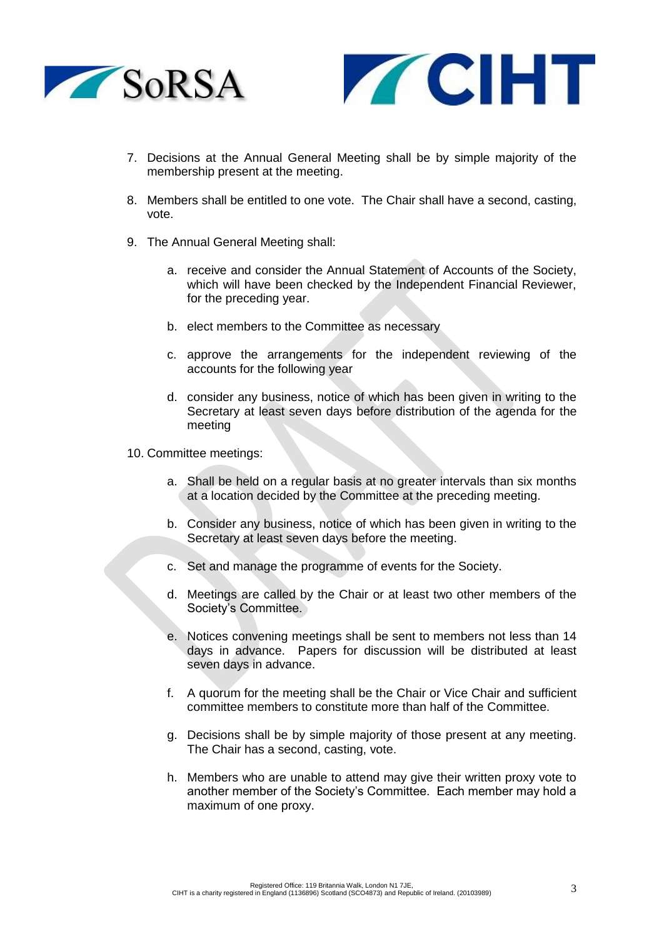



- 7. Decisions at the Annual General Meeting shall be by simple majority of the membership present at the meeting.
- 8. Members shall be entitled to one vote. The Chair shall have a second, casting, vote.
- 9. The Annual General Meeting shall:
	- a. receive and consider the Annual Statement of Accounts of the Society, which will have been checked by the Independent Financial Reviewer, for the preceding year.
	- b. elect members to the Committee as necessary
	- c. approve the arrangements for the independent reviewing of the accounts for the following year
	- d. consider any business, notice of which has been given in writing to the Secretary at least seven days before distribution of the agenda for the meeting
- 10. Committee meetings:
	- a. Shall be held on a regular basis at no greater intervals than six months at a location decided by the Committee at the preceding meeting.
	- b. Consider any business, notice of which has been given in writing to the Secretary at least seven days before the meeting.
	- c. Set and manage the programme of events for the Society.
	- d. Meetings are called by the Chair or at least two other members of the Society's Committee.
	- e. Notices convening meetings shall be sent to members not less than 14 days in advance. Papers for discussion will be distributed at least seven days in advance.
	- f. A quorum for the meeting shall be the Chair or Vice Chair and sufficient committee members to constitute more than half of the Committee.
	- g. Decisions shall be by simple majority of those present at any meeting. The Chair has a second, casting, vote.
	- h. Members who are unable to attend may give their written proxy vote to another member of the Society's Committee. Each member may hold a maximum of one proxy.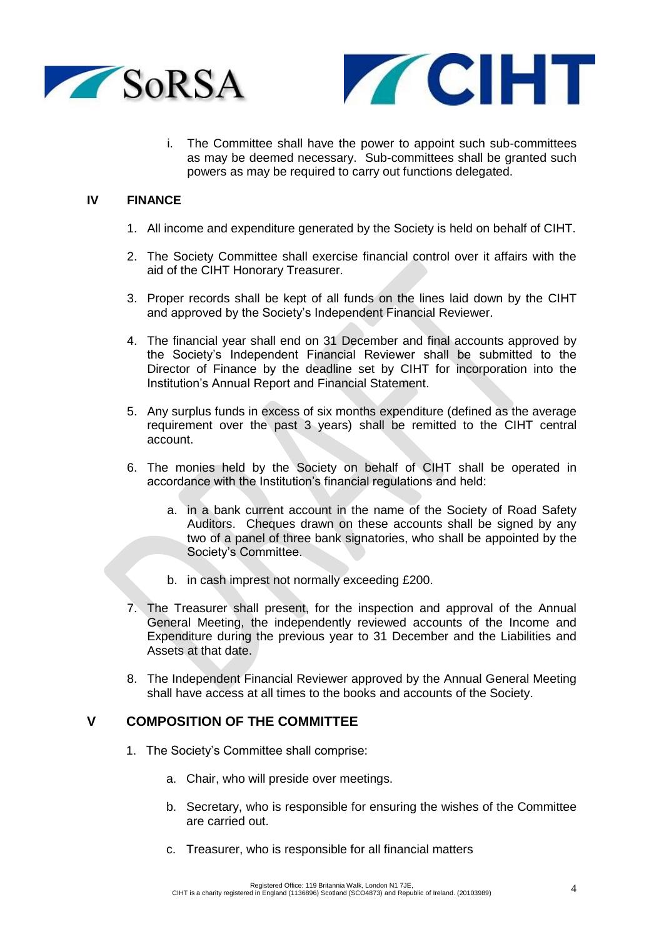



The Committee shall have the power to appoint such sub-committees as may be deemed necessary. Sub-committees shall be granted such powers as may be required to carry out functions delegated.

#### **IV FINANCE**

- 1. All income and expenditure generated by the Society is held on behalf of CIHT.
- 2. The Society Committee shall exercise financial control over it affairs with the aid of the CIHT Honorary Treasurer.
- 3. Proper records shall be kept of all funds on the lines laid down by the CIHT and approved by the Society's Independent Financial Reviewer.
- 4. The financial year shall end on 31 December and final accounts approved by the Society's Independent Financial Reviewer shall be submitted to the Director of Finance by the deadline set by CIHT for incorporation into the Institution's Annual Report and Financial Statement.
- 5. Any surplus funds in excess of six months expenditure (defined as the average requirement over the past 3 years) shall be remitted to the CIHT central account.
- 6. The monies held by the Society on behalf of CIHT shall be operated in accordance with the Institution's financial regulations and held:
	- a. in a bank current account in the name of the Society of Road Safety Auditors. Cheques drawn on these accounts shall be signed by any two of a panel of three bank signatories, who shall be appointed by the Society's Committee.
	- b. in cash imprest not normally exceeding £200.
- 7. The Treasurer shall present, for the inspection and approval of the Annual General Meeting, the independently reviewed accounts of the Income and Expenditure during the previous year to 31 December and the Liabilities and Assets at that date.
- 8. The Independent Financial Reviewer approved by the Annual General Meeting shall have access at all times to the books and accounts of the Society.

#### **V COMPOSITION OF THE COMMITTEE**

- 1. The Society's Committee shall comprise:
	- a. Chair, who will preside over meetings.
	- b. Secretary, who is responsible for ensuring the wishes of the Committee are carried out.
	- c. Treasurer, who is responsible for all financial matters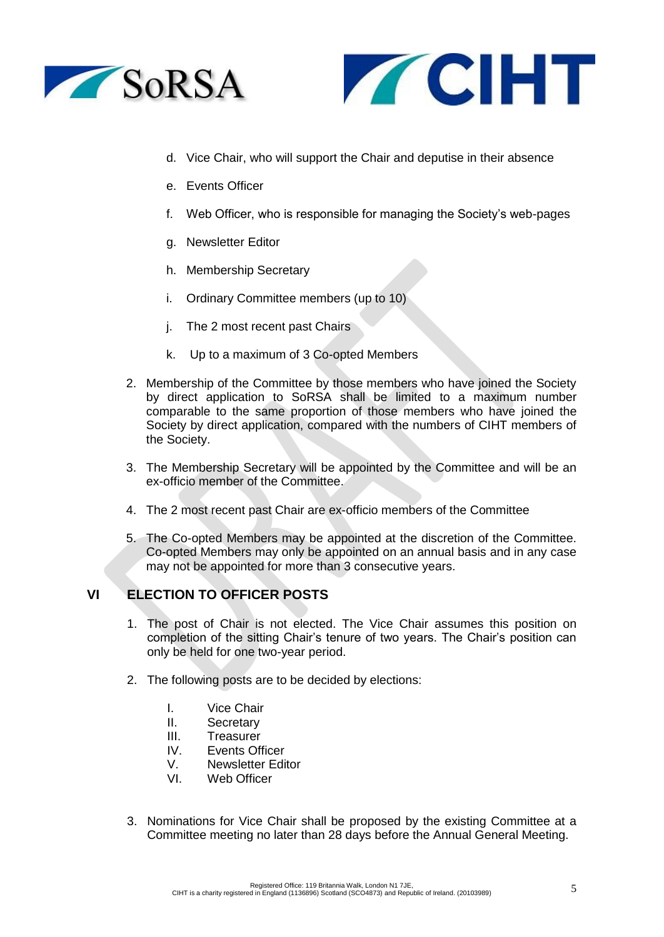



- d. Vice Chair, who will support the Chair and deputise in their absence
- e. Events Officer
- f. Web Officer, who is responsible for managing the Society's web-pages
- g. Newsletter Editor
- h. Membership Secretary
- i. Ordinary Committee members (up to 10)
- j. The 2 most recent past Chairs
- k. Up to a maximum of 3 Co-opted Members
- 2. Membership of the Committee by those members who have joined the Society by direct application to SoRSA shall be limited to a maximum number comparable to the same proportion of those members who have joined the Society by direct application, compared with the numbers of CIHT members of the Society.
- 3. The Membership Secretary will be appointed by the Committee and will be an ex-officio member of the Committee.
- 4. The 2 most recent past Chair are ex-officio members of the Committee
- 5. The Co-opted Members may be appointed at the discretion of the Committee. Co-opted Members may only be appointed on an annual basis and in any case may not be appointed for more than 3 consecutive years.

## **VI ELECTION TO OFFICER POSTS**

- 1. The post of Chair is not elected. The Vice Chair assumes this position on completion of the sitting Chair's tenure of two years. The Chair's position can only be held for one two-year period.
- 2. The following posts are to be decided by elections:
	- I. Vice Chair
	- II. Secretary
	- III. Treasurer
	- IV. Events Officer
	- V. Newsletter Editor
	- VI. Web Officer
- 3. Nominations for Vice Chair shall be proposed by the existing Committee at a Committee meeting no later than 28 days before the Annual General Meeting.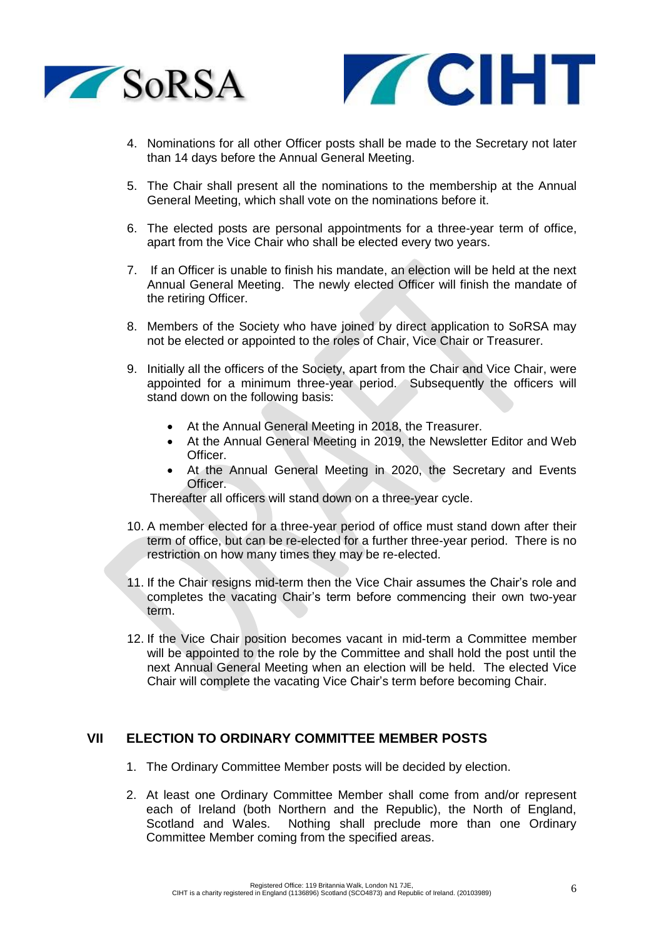



- 4. Nominations for all other Officer posts shall be made to the Secretary not later than 14 days before the Annual General Meeting.
- 5. The Chair shall present all the nominations to the membership at the Annual General Meeting, which shall vote on the nominations before it.
- 6. The elected posts are personal appointments for a three-year term of office, apart from the Vice Chair who shall be elected every two years.
- 7. If an Officer is unable to finish his mandate, an election will be held at the next Annual General Meeting. The newly elected Officer will finish the mandate of the retiring Officer.
- 8. Members of the Society who have joined by direct application to SoRSA may not be elected or appointed to the roles of Chair, Vice Chair or Treasurer.
- 9. Initially all the officers of the Society, apart from the Chair and Vice Chair, were appointed for a minimum three-year period. Subsequently the officers will stand down on the following basis:
	- At the Annual General Meeting in 2018, the Treasurer.
	- At the Annual General Meeting in 2019, the Newsletter Editor and Web Officer.
	- At the Annual General Meeting in 2020, the Secretary and Events Officer.

Thereafter all officers will stand down on a three-year cycle.

- 10. A member elected for a three-year period of office must stand down after their term of office, but can be re-elected for a further three-year period. There is no restriction on how many times they may be re-elected.
- 11. If the Chair resigns mid-term then the Vice Chair assumes the Chair's role and completes the vacating Chair's term before commencing their own two-year term.
- 12. If the Vice Chair position becomes vacant in mid-term a Committee member will be appointed to the role by the Committee and shall hold the post until the next Annual General Meeting when an election will be held. The elected Vice Chair will complete the vacating Vice Chair's term before becoming Chair.

# **VII ELECTION TO ORDINARY COMMITTEE MEMBER POSTS**

- 1. The Ordinary Committee Member posts will be decided by election.
- 2. At least one Ordinary Committee Member shall come from and/or represent each of Ireland (both Northern and the Republic), the North of England, Scotland and Wales. Nothing shall preclude more than one Ordinary Committee Member coming from the specified areas.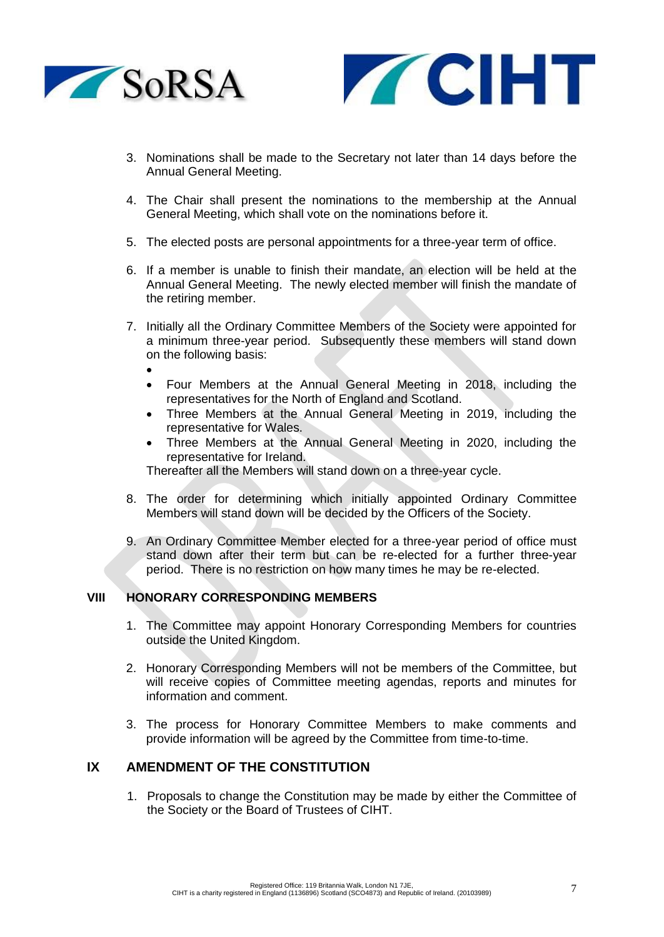



- 3. Nominations shall be made to the Secretary not later than 14 days before the Annual General Meeting.
- 4. The Chair shall present the nominations to the membership at the Annual General Meeting, which shall vote on the nominations before it.
- 5. The elected posts are personal appointments for a three-year term of office.
- 6. If a member is unable to finish their mandate, an election will be held at the Annual General Meeting. The newly elected member will finish the mandate of the retiring member.
- 7. Initially all the Ordinary Committee Members of the Society were appointed for a minimum three-year period. Subsequently these members will stand down on the following basis:
	- •
	- Four Members at the Annual General Meeting in 2018, including the representatives for the North of England and Scotland.
	- Three Members at the Annual General Meeting in 2019, including the representative for Wales.
	- Three Members at the Annual General Meeting in 2020, including the representative for Ireland.

Thereafter all the Members will stand down on a three-year cycle.

- 8. The order for determining which initially appointed Ordinary Committee Members will stand down will be decided by the Officers of the Society.
- 9. An Ordinary Committee Member elected for a three-year period of office must stand down after their term but can be re-elected for a further three-year period. There is no restriction on how many times he may be re-elected.

#### **VIII HONORARY CORRESPONDING MEMBERS**

- 1. The Committee may appoint Honorary Corresponding Members for countries outside the United Kingdom.
- 2. Honorary Corresponding Members will not be members of the Committee, but will receive copies of Committee meeting agendas, reports and minutes for information and comment.
- 3. The process for Honorary Committee Members to make comments and provide information will be agreed by the Committee from time-to-time.

## **IX AMENDMENT OF THE CONSTITUTION**

1. Proposals to change the Constitution may be made by either the Committee of the Society or the Board of Trustees of CIHT.